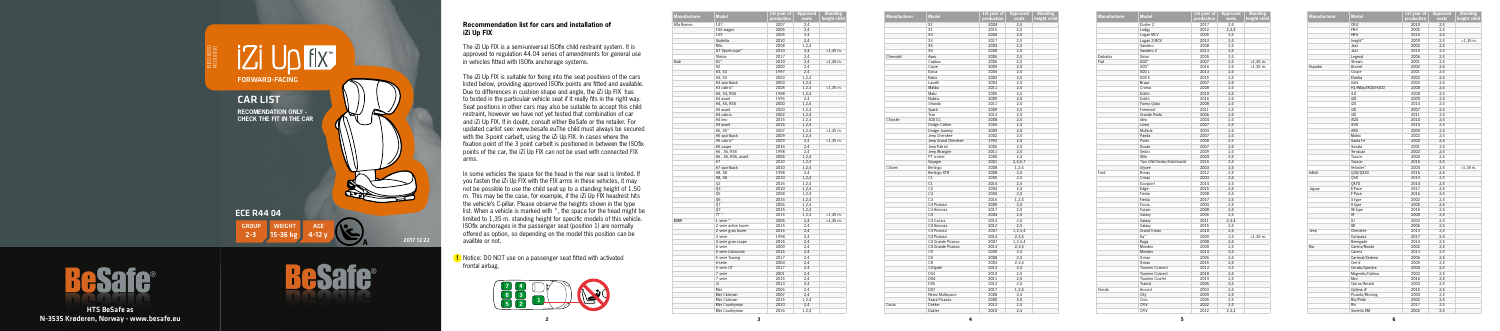**5**





HTS BeSafe as N-3535 Krøderen, Norway - www.besafe.eu

## **Recommendation list for cars and installation of iZi Up FIX**

The iZi Up FIX is a semi-universal ISOfix child restraint system. It is approved to regulation 44.04 series of amendments for general use in vehicles fitted with ISOfix anchorage systems.

The iZi Up FIX is suitable for fixing into the seat positions of the cars listed below, providing approved ISOfix points are fitted and available. Due to differences in cushion shape and angle, the iZi Up FIX has to tested in the particulair vehicle seat if it really fits in the right way. Seat positions in other cars may also be suitable to accept this child restraint, however we have not yet tested that combination of car and iZi Up FIX. If in doubt, consult either BeSafe or the retailer. For updated carlist see: www.besafe.euThe child must always be secured with the 3-point carbelt, using the iZi Up FIX. In cases where the fixation point of the 3 point carbelt is positioned in between the ISOfix points of the car, the iZi Up FIX can not be used with connected FIX arms.

In some vehicles the space for the head in the rear seat is limited. If you fasten the iZi Up FIX with the FIX arms in these vehicles, it may not be possible to use the child seat up to a standing height of 1.50 m. This may be the case, for example, if the iZi Up FIX headrest hits the vehicle's C-pillar. Please observe the heights shown in the type list. When a vehicle is marked with \*, the space for the head might be limited to 1,35 m. standing height for specific models of this vehicle. ISOfix anchorages in the passenger seat (position 1) are normally offered as option, so depending on the model this position can be availble or not.



| <b>Manufacturer</b> | <b>Model</b>          | 1st year of | <b>Approved</b> | <b>Standing</b> |
|---------------------|-----------------------|-------------|-----------------|-----------------|
|                     |                       | production  | seats           | height child    |
| Alfa Romeo          | 147                   | 2007        | 2,4             |                 |
|                     | 156 wagon             | 2005        | 2.4             |                 |
|                     | 159                   | 2005        | 2,4             |                 |
|                     | Giulietta             | 2010        | 2.4             |                 |
|                     | Mito                  | 2008        | 1.2.4           |                 |
|                     | GT Sportcoupe*        | 2010        | 2,4             | $<$ 1,35 m.     |
|                     | Stelvio               | 2017        | 2,4             |                 |
| Audi                | A1*                   | 2010        | 2,4             | $<$ 1,35 m.     |
|                     | A <sub>2</sub>        | 2000        | 2,4             |                 |
|                     | A3, S3                | 1997        | 2,4             |                 |
|                     | A3, S3                | 2003        | 1,2,4           |                 |
|                     | A3 sportback          | 2003        | 1,2,4           |                 |
|                     | A3 cabrio*            | 2008        | 1,2,4           | $<$ 1,35 $m$ .  |
|                     | A4, S4, RS4           | 1998        | 1,2,4           |                 |
|                     | A4 avant              | 1996        | 2,4             |                 |
|                     | A4, S4, RS4           | 2000        | 1,2,4           |                 |
|                     | A4 avant              | 2000        | 1,2,4           |                 |
|                     | A4 cabrio             | 2002        | 1,2,4           |                 |
|                     | A4 imo                | 2015        | 1,2,4           |                 |
|                     | A4 avant              | 2015        | 1,2,4           |                 |
|                     | A5, S5*               | 2007        | 1,2,4           | $<$ 1,35 $m$ .  |
|                     | A5 sportback          | 2009        | 1,2,4           |                 |
|                     | A5 cabrio*            | 2009        | 2,4             | $<$ 1,35 $m$ .  |
|                     | A5 coupe              | 2016        | 2,4             |                 |
|                     | A6, S6, RS6           | 1998        | 2,4             |                 |
|                     | A6, S6, RS6, avant    | 2004        | 1,2,4           |                 |
|                     | A7                    | 2010        | 1,2,4           |                 |
|                     | A7 sportback          | 2010        | 1,2,4           |                 |
|                     | A8, S8                | 1998        | 2,4             |                 |
|                     | A8, S8                | 2010        | 1,2,4           |                 |
|                     | 02                    | 2016        | 1,2,4           |                 |
|                     | Q3                    | 2010        | 1,2,4           |                 |
|                     | Q5                    | 2008        | 1,2,4           |                 |
|                     | 05                    | 2016        | 1,2,4           |                 |
|                     | Q7                    | 2006        | 1,2,4           |                 |
|                     | 07                    | 2015        | 1,2,4           |                 |
|                     | TT <sup>*</sup>       | 2015        | 1,2,4           | $<$ 1,35 $m$ .  |
| <b>BMW</b>          | 1 serie *             | 2005        | 2,4             | $<$ 1,35 m.     |
|                     | 2 serie active tourer | 2014        | 2,4             |                 |
|                     | 2 serie gran tourer   | 2015        | 2,4             |                 |
|                     | 3 serie               | 1998        | 2,4             |                 |
|                     | 4 serie gran coupe    | 2014        | 2,4             |                 |
|                     | 5 serie               | 2000        | 2,4             |                 |
|                     | 5 serie Limousine     | 2016        | 2,4             |                 |
|                     | 5 serie Touring       | 2017        | 2,4             |                 |
|                     | 6-serie               | 2003        | 2,4             |                 |
|                     | 6 serie GT            | 2017        | 2,4             |                 |
|                     | 7 serie               | 2001        | 2,4             |                 |
|                     | 7 serie               | 2015        | 2,4             |                 |
|                     | i3                    | 2013        | 2,4             |                 |
|                     | Mini                  | 2006        | 2,4             |                 |
|                     | Mini Clubman          | 2007        | 2,4             |                 |
|                     | Mini Clubman          | 2015        | 1,2,4           |                 |
|                     | Mini Countryman       | 2010        | 2,4             |                 |
|                     | Mini Countryman       | 2016        | 1,2,4           |                 |
|                     |                       |             |                 |                 |

| <b>Manufacturer</b> | <b>Model</b>        | 1st year of | Approved | <b>Standing</b> |
|---------------------|---------------------|-------------|----------|-----------------|
|                     |                     | production  | seats    | height child    |
|                     | X1                  | 2004        | 2,4      |                 |
|                     | X1                  | 2015        | 2,4      |                 |
|                     | X <sub>3</sub>      | 2004        | 2,4      |                 |
|                     | X3                  | 2017        | 2,4      |                 |
|                     | X5                  | 2004        | 2,4      |                 |
|                     | X6                  | 2008        | 2,4      |                 |
| Chrevolet           | Aveo                | 2006        | 2,4      |                 |
|                     | Captiva             | 2006        | 2,4      |                 |
|                     | Cruze               | 2009        | 2,4      |                 |
|                     | Epica               | 2006        | 2,4      |                 |
|                     | Kalos               | 2002        | 2,4      |                 |
|                     | Lacetti             | 2004        | 2,4      |                 |
|                     | Malibu              | 2011        | 2,4      |                 |
|                     | Matiz               | 2005        | 2,4      |                 |
|                     | Nubira              | 2009        | 2,4      |                 |
|                     | Orlando             | 2011        | 2,4      |                 |
|                     | Spark               | 2009        | 2,4      |                 |
|                     | Trax                | 2013        | 2,4      |                 |
| Chrysler            | 300 CC              | 2008        | 2,4      |                 |
|                     | Dodge Caliber       | 2006        | 2,4      |                 |
|                     | Dodge Journey       | 2009        | 2,4      |                 |
|                     | Jeep Cherokee       | 2002        | 2,4      |                 |
|                     | Jeep Grand Cherokee | 1992        | 2,4      |                 |
|                     | Jeep Patriot        | 2006        | 2,4      |                 |
|                     | Jeep Wrangler       | 2011        | 2,4      |                 |
|                     | PT cruiser          | 2000        | 2,4      |                 |
|                     | Voyager             | 2001        | 2,4,5,7  |                 |
| Citroen             | Berlingo            | 2008        | 1,2,4    |                 |
|                     | Berlingo XTR        | 2008        | 2,4      |                 |
|                     | C1                  | 2005        | 2,4      |                 |
|                     | C1                  | 2014        | 2,4      |                 |
|                     | C <sub>2</sub>      | 2004        | 2,4      |                 |
|                     | C <sub>3</sub>      | 2004        | 2,4      |                 |
|                     | C <sub>3</sub>      | 2016        | 1,2,4    |                 |
|                     | C3 Picasso          | 2009        | 2,4      |                 |
|                     | C3 Aircross         | 2017        | 2,4      |                 |
|                     | C <sub>4</sub>      | 2004        | 2,4      |                 |
|                     | C4 Cactus           | 2014        | 2,4      |                 |
|                     | C4 Aircross         | 2012        | 2,4      |                 |
|                     | C4 Picasso          | 2007        | 1,2,3,4  |                 |
|                     | C4 Picasso          | 2013        | 2,3,4    |                 |
|                     | C4 Grande Picasso   | 2007        | 1,2,3,4  |                 |
|                     | C4 Grande Picasso   | 2013        | 2,3,4    |                 |
|                     | C <sub>5</sub>      | 2000        | 2,4      |                 |
|                     | C6                  | 2008        | 2,4      |                 |
|                     | C <sub>8</sub>      | 2003        | 2,3,4    |                 |
|                     | C-Elysée            | 2012        | 2,4      |                 |
|                     | DS3                 | 2010        | 2,4      |                 |
|                     | DS4                 | 2011        | 2,4      |                 |
|                     | DS5                 | 2012        | 2,4      |                 |
|                     | DS7                 |             | 1,2,4    |                 |
|                     |                     | 2017        |          |                 |
|                     | Nemo Multispace     | 2008        | 2,4      |                 |
|                     | Xsara Picasso       | 2000        | 2,4      |                 |
| Dacia               | Dokker              | 2012        | 2,4      |                 |
|                     | Duster              | 2010        | 2,4      |                 |

| <b>Manufacturer</b> | <b>Model</b>              | 1st year of<br>production | Approved<br>seats | <b>Standing</b><br>height child |
|---------------------|---------------------------|---------------------------|-------------------|---------------------------------|
|                     | Duster <sub>2</sub>       | 2017                      | 2,4               |                                 |
|                     | Lodgy                     | 2012                      | 2,3,4             |                                 |
|                     | Logan MCV                 | 2005                      | 2,4               |                                 |
|                     | Logan 2 MCV               | 2013                      | 2,4               |                                 |
|                     | Sandero                   |                           | 2,4               |                                 |
|                     | Sandero <sub>2</sub>      | 2008<br>2013              | 2,4               |                                 |
| Daihatsu            | Sirion                    | 2005                      |                   |                                 |
|                     |                           |                           | 2,4               |                                 |
| Fiat                | 500*                      | 2007                      | 2,4               | $<$ 1,35 m.                     |
|                     | 500*                      | 2016                      | 2,4               | $<$ 1,35 $m$ .                  |
|                     | 500L                      | 2013                      | 2,4               |                                 |
|                     | 500 X                     | 2015                      | 2,4               |                                 |
|                     | Bravo                     | 2007                      | 2,4               |                                 |
|                     | Croma                     | 2008                      | 2,4               |                                 |
|                     | Doblò                     | 2010                      | 2,4               |                                 |
|                     | Doblò                     | 2016                      | 2,4               |                                 |
|                     | Fiorno Qubo               | 2008                      | 2,4               |                                 |
|                     | Freemont                  | 2011                      | 2,4               |                                 |
|                     | Grande Punto              | 2006                      | 2,4               |                                 |
|                     | Idea                      | 2004                      | 2,4               |                                 |
|                     | Linea                     | 2007                      | 2,4               |                                 |
|                     | Multipla                  | 2004                      | 2,4               |                                 |
|                     | Panda                     | 2007                      | 2,4               |                                 |
|                     | Punto                     | 2008                      | 2,4               |                                 |
|                     | Scudo                     | 2007                      | 2,4               |                                 |
|                     | Sedici                    | 2009                      | 2,4               |                                 |
|                     | Stilo                     | 2004                      | 2,4               |                                 |
|                     | Tipo (SW/Sedan/Hatchback) | 2016                      | 2,4               |                                 |
|                     | Ulysee                    | 2003                      | 2,4               |                                 |
| Ford                | B-max                     | 2012                      | 2,4               |                                 |
|                     | C-max                     | 2003                      | 2,4               |                                 |
|                     | Ecosport                  | 2014                      | 2,4               |                                 |
|                     | Edge                      | 2015                      | 2,4               |                                 |
|                     | Fiesta                    | 2008                      | 2,4               |                                 |
|                     | Fiesta                    | 2017                      | 2,4               |                                 |
|                     |                           |                           | 2,4               |                                 |
|                     | Focus<br>Fusion           | 2004<br>2008              |                   |                                 |
|                     |                           |                           | 2,4               |                                 |
|                     | Galaxy                    | 2006                      | 2,4               |                                 |
|                     | Galaxy                    | 2011                      | 2,3,4             |                                 |
|                     | Galaxy                    | 2015                      | 2,4               |                                 |
|                     | Grand C-max               | 2010                      | 2,4               |                                 |
|                     | Ka*                       | 2009                      | 2,4               | $<$ 1,35 $m$ .                  |
|                     | Kuga                      | 2008                      | 2,4               |                                 |
|                     | Mondeo                    | 2000                      | 2,4               |                                 |
|                     | Mondeo                    | 2014                      | 2,4               |                                 |
|                     | S-max                     | 2006                      | 2,4               |                                 |
|                     | S-max                     | 2015                      | 2,4               |                                 |
|                     | Tourneo Connect           | 2013                      | 2,4               |                                 |
|                     | Tourneo Connect           | 2018                      | 2,4               |                                 |
|                     | Tourneo Courier           | 2014                      | 2,4               |                                 |
|                     | Transit                   | 2006                      | 2,4               |                                 |
| Honda               | Accord                    | 2003                      | 2,4               |                                 |
|                     | City                      | 2009                      | 2,4               |                                 |
|                     | Civic                     | 2006                      | 2,4               |                                 |
|                     | CR-V                      | 2002                      | 2,4               |                                 |
|                     | CR-V                      | 2012                      | 2,3,4             |                                 |
|                     |                           |                           |                   |                                 |

**!** Notice: DO NOT use on a passenger seat fitted with activated frontal airbag.

|                     | <b>Model</b>      | 1st year of | <b>Appro</b> |
|---------------------|-------------------|-------------|--------------|
| <b>Manufacturer</b> |                   | production  | sea          |
|                     | CR-Z              | 2010        | 2,4          |
|                     | FR-V              | 2005        | 2,4          |
|                     | HR-V              | 2015        | 2,4          |
|                     | Insight*          | 2009        | 2,4          |
|                     | Jazz              | 2002        | 2,4          |
|                     | Jazz              | 2015        | 2,4          |
|                     | Legend            | 2006        | 2,4          |
|                     | Stream            | 2001        | 2,4          |
| Huyndai             | Accent            | 2002        | 2,4          |
|                     | Coupe             | 2001        | 2,4          |
|                     | Elantra           | 2002        | 2,4          |
|                     | Getz              | 2002        | 2,4          |
|                     | H1/iMax/i800/H300 | 2008        | 2,4          |
|                     | i10               | 2008        | 2,4          |
|                     | i20               | 2009        | 2,4          |
|                     | i20               | 2014        | 2,4          |
|                     | i30               | 2007        | 2,4          |
|                     | i40               | 2011        | 2,4          |
|                     | iX20              | 2010        | 2,4          |
|                     | iX35              | 2010        | 2,4          |
|                     | iX55              | 2009        | 2,4          |
|                     | Matrix            | 2002        | 2,4          |
|                     | Santa Fe          | 2002        | 2,4          |
|                     | Sonata            | 2001        | 2,4          |
|                     | Terracan          | 2002        | 2,4          |
|                     | Tucson            | 2004        | 2,4          |
|                     | Tucson            | 2015        | 2,4          |
|                     | Veloster*         | 2004        |              |
| Infiniti            | 030/0X30          | 2015        | 2,4<br>2,4   |
|                     | 050               | 2014        | 2,4          |
|                     | <b>OX70</b>       | 2014        | 2,4          |
|                     | E-Pace            | 2017        |              |
| Jaguar              | F-Pace            | 2016        | 2,4<br>2,4   |
|                     | S type            | 2002        | 2,4          |
|                     | X type            | 2005        | 2,4          |
|                     |                   | 2015        |              |
|                     | XE-type<br>XF     | 2008        | 2,4<br>2,4   |
|                     | XJ                | 2003        | 2,4          |
|                     | XK                |             |              |
|                     |                   | 2006        | 2,4          |
| Jeep                | Cherokee          | 2013        | 2,4          |
|                     | Compass           | 2017        | 2,4          |
|                     | Renegade          | 2014        | 2,4          |
| Kia                 | Carens/Rondo      | 2002        | 2,4          |
|                     | Carens            | 2013        | 2,4          |
|                     | Carnival/Sedona   | 2006        | 2,4          |
|                     | Cee'd             | 2005        | 2,4          |
|                     | Cerato/Spectra    | 2004        | 2,4          |
|                     | Magentis/Optima   | 2002        | 2,4          |
|                     | Niro              | 2016        | 2,4          |
|                     | Opirus/Amanti     | 2003        | 2,4          |
|                     | Optima JF         | 2015        | 2,4          |
|                     | Picanto/Morning   | 2004        | 2,4          |
|                     | Rio/Pride         | 2002        | 2,4          |
|                     | Rio               | 2017        | 2,4          |
|                     | Sorento XM        | 2002        | 2,4          |

|                   | 1st year of | <b>Approved</b> | <b>Standing</b> |
|-------------------|-------------|-----------------|-----------------|
| <b>Model</b>      | production  | seats           | height child    |
| CR-Z              | 2010        | 2,4             |                 |
| FR-V              | 2005        | 2,4             |                 |
| HR-V              | 2015        | 2,4             |                 |
| Insight*          | 2009        | 2,4             | $<$ 1,35 $m$ .  |
| Jazz              | 2002        | 2,4             |                 |
| Jazz              | 2015        | 2,4             |                 |
| Legend            | 2006        | 2,4             |                 |
| Stream            | 2001        | 2,4             |                 |
| Accent            | 2002        | 2,4             |                 |
| Coupe             | 2001        | 2,4             |                 |
| Elantra           | 2002        | 2,4             |                 |
| Getz              | 2002        | 2,4             |                 |
| H1/iMax/i800/H300 | 2008        | 2,4             |                 |
| i10               | 2008        | 2,4             |                 |
| i20               | 2009        | 2,4             |                 |
| i20               | 2014        | 2,4             |                 |
| i30               | 2007        | 2,4             |                 |
| i40               | 2011        | 2,4             |                 |
| iX20              | 2010        | 2,4             |                 |
| iX35              | 2010        | 2,4             |                 |
| iX55              | 2009        | 2,4             |                 |
| Matrix            | 2002        | 2,4             |                 |
| Santa Fe          | 2002        | 2,4             |                 |
| Sonata            | 2001        | 2,4             |                 |
| Terracan          | 2002        | 2,4             |                 |
| Tucson            | 2004        | 2,4             |                 |
| Tucson            | 2015        | 2,4             |                 |
| Veloster*         | 2004        | 2,4             | $<$ 1,35 m.     |
| Q30/QX30          | 2015        | 2,4             |                 |
| Q50               | 2014        | 2,4             |                 |
| <b>QX70</b>       | 2014        | 2,4             |                 |
| E-Pace            | 2017        | 2,4             |                 |
| F-Pace            | 2016        | 2,4             |                 |
| S type            | 2002        | 2,4             |                 |
| X type            | 2005        | 2,4             |                 |
| XE-type           | 2015        | 2,4             |                 |
| XF                | 2008        | 2,4             |                 |
| XJ                | 2003        | 2,4             |                 |
| XK                | 2006        | 2,4             |                 |
| Cherokee          | 2013        | 2,4             |                 |
| Compass           | 2017        | 2,4             |                 |
| Renegade          | 2014        | 2,4             |                 |
| Carens/Rondo      | 2002        | 2,4             |                 |
| Carens            | 2013        | 2,4             |                 |
| Carnival/Sedona   | 2006        | 2,4             |                 |
| Cee'd             | 2005        | 2,4             |                 |
| Cerato/Spectra    | 2004        | 2,4             |                 |
| Magentis/Optima   | 2002        | 2,4             |                 |
| Niro              | 2016        | 2,4             |                 |
| Opirus/Amanti     | 2003        | 2,4             |                 |
| Optima JF         | 2015        | 2,4             |                 |
| Picanto/Morning   | 2004        | 2,4             |                 |
| Rio/Pride         | 2002        | 2,4             |                 |
| Rio               | 2017        | 2,4             |                 |
| Sorento XM        | 2002        | 24              |                 |